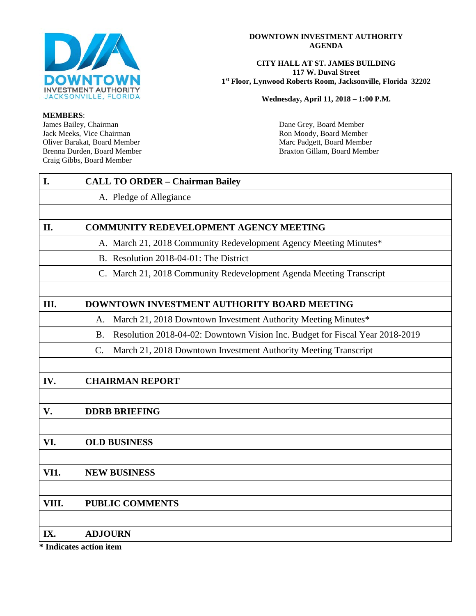

#### **DOWNTOWN INVESTMENT AUTHORITY AGENDA**

#### **CITY HALL AT ST. JAMES BUILDING 117 W. Duval Street 1st Floor, Lynwood Roberts Room, Jacksonville, Florida 32202**

**Wednesday, April 11, 2018 – 1:00 P.M.**

**MEMBERS**: James Bailey, Chairman Dane Grey, Board Member<br>
Jack Meeks, Vice Chairman Noody, Board Member<br>
Ron Moody, Board Member Jack Meeks, Vice Chairman <br>
Oliver Barakat, Board Member **Ron Moody, Board Member**<br>
Marc Padgett, Board Membe Oliver Barakat, Board Member Marc Padgett, Board Member Marc Padgett, Board Member Brenna Durden, Board Member Craig Gibbs, Board Member

Braxton Gillam, Board Member

| $\mathbf{I}$ . | <b>CALL TO ORDER - Chairman Bailey</b>                                                    |  |  |  |  |  |
|----------------|-------------------------------------------------------------------------------------------|--|--|--|--|--|
|                | A. Pledge of Allegiance                                                                   |  |  |  |  |  |
|                |                                                                                           |  |  |  |  |  |
| II.            | <b>COMMUNITY REDEVELOPMENT AGENCY MEETING</b>                                             |  |  |  |  |  |
|                | A. March 21, 2018 Community Redevelopment Agency Meeting Minutes*                         |  |  |  |  |  |
|                | B. Resolution 2018-04-01: The District                                                    |  |  |  |  |  |
|                | C. March 21, 2018 Community Redevelopment Agenda Meeting Transcript                       |  |  |  |  |  |
|                |                                                                                           |  |  |  |  |  |
| Ш.             | <b>DOWNTOWN INVESTMENT AUTHORITY BOARD MEETING</b>                                        |  |  |  |  |  |
|                | March 21, 2018 Downtown Investment Authority Meeting Minutes*<br>А.                       |  |  |  |  |  |
|                | Resolution 2018-04-02: Downtown Vision Inc. Budget for Fiscal Year 2018-2019<br><b>B.</b> |  |  |  |  |  |
|                | March 21, 2018 Downtown Investment Authority Meeting Transcript<br>C.                     |  |  |  |  |  |
|                |                                                                                           |  |  |  |  |  |
| IV.            | <b>CHAIRMAN REPORT</b>                                                                    |  |  |  |  |  |
|                |                                                                                           |  |  |  |  |  |
| $V_{\bullet}$  | <b>DDRB BRIEFING</b>                                                                      |  |  |  |  |  |
|                |                                                                                           |  |  |  |  |  |
| VI.            | <b>OLD BUSINESS</b>                                                                       |  |  |  |  |  |
|                |                                                                                           |  |  |  |  |  |
| <b>VI1.</b>    | <b>NEW BUSINESS</b>                                                                       |  |  |  |  |  |
|                |                                                                                           |  |  |  |  |  |
| VIII.          | <b>PUBLIC COMMENTS</b>                                                                    |  |  |  |  |  |
|                |                                                                                           |  |  |  |  |  |
| IX.            | <b>ADJOURN</b>                                                                            |  |  |  |  |  |

**\* Indicates action item**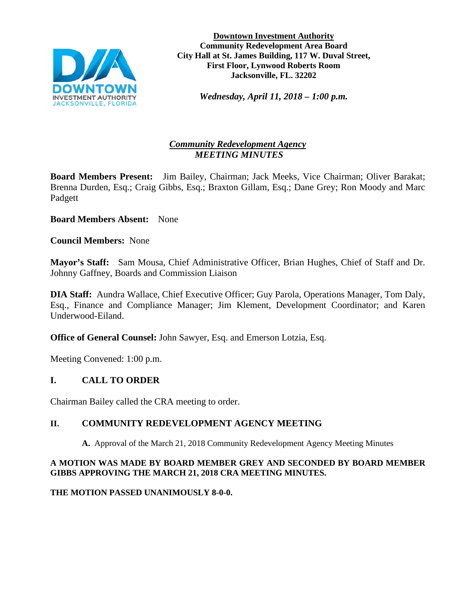

**Downtown Investment Authority Community Redevelopment Area Board City Hall at St. James Building, 117 W. Duval Street, First Floor, Lynwood Roberts Room Jacksonville, FL. 32202**

*Wednesday, April 11, 2018 – 1:00 p.m.* 

# *Community Redevelopment Agency MEETING MINUTES*

**Board Members Present:** Jim Bailey, Chairman; Jack Meeks, Vice Chairman; Oliver Barakat; Brenna Durden, Esq.; Craig Gibbs, Esq.; Braxton Gillam, Esq.; Dane Grey; Ron Moody and Marc Padgett

**Board Members Absent:** None

**Council Members:** None

**Mayor's Staff:** Sam Mousa, Chief Administrative Officer, Brian Hughes, Chief of Staff and Dr. Johnny Gaffney, Boards and Commission Liaison

**DIA Staff:** Aundra Wallace, Chief Executive Officer; Guy Parola, Operations Manager, Tom Daly, Esq., Finance and Compliance Manager; Jim Klement, Development Coordinator; and Karen Underwood-Eiland.

**Office of General Counsel:** John Sawyer, Esq. and Emerson Lotzia, Esq.

Meeting Convened: 1:00 p.m.

# **I. CALL TO ORDER**

Chairman Bailey called the CRA meeting to order.

# **II. COMMUNITY REDEVELOPMENT AGENCY MEETING**

**A.** Approval of the March 21, 2018 Community Redevelopment Agency Meeting Minutes

### **A MOTION WAS MADE BY BOARD MEMBER GREY AND SECONDED BY BOARD MEMBER GIBBS APPROVING THE MARCH 21, 2018 CRA MEETING MINUTES.**

**THE MOTION PASSED UNANIMOUSLY 8-0-0.**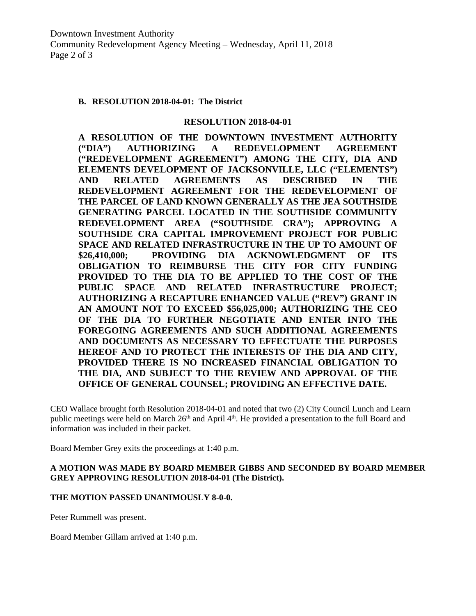#### **B. RESOLUTION 2018-04-01: The District**

#### **RESOLUTION 2018-04-01**

**A RESOLUTION OF THE DOWNTOWN INVESTMENT AUTHORITY ("DIA") AUTHORIZING A REDEVELOPMENT AGREEMENT ("REDEVELOPMENT AGREEMENT") AMONG THE CITY, DIA AND ELEMENTS DEVELOPMENT OF JACKSONVILLE, LLC ("ELEMENTS") AND RELATED AGREEMENTS AS DESCRIBED IN THE REDEVELOPMENT AGREEMENT FOR THE REDEVELOPMENT OF THE PARCEL OF LAND KNOWN GENERALLY AS THE JEA SOUTHSIDE GENERATING PARCEL LOCATED IN THE SOUTHSIDE COMMUNITY REDEVELOPMENT AREA ("SOUTHSIDE CRA"); APPROVING A SOUTHSIDE CRA CAPITAL IMPROVEMENT PROJECT FOR PUBLIC SPACE AND RELATED INFRASTRUCTURE IN THE UP TO AMOUNT OF \$26,410,000; PROVIDING DIA ACKNOWLEDGMENT OF ITS OBLIGATION TO REIMBURSE THE CITY FOR CITY FUNDING PROVIDED TO THE DIA TO BE APPLIED TO THE COST OF THE PUBLIC SPACE AND RELATED INFRASTRUCTURE PROJECT; AUTHORIZING A RECAPTURE ENHANCED VALUE ("REV") GRANT IN AN AMOUNT NOT TO EXCEED \$56,025,000; AUTHORIZING THE CEO OF THE DIA TO FURTHER NEGOTIATE AND ENTER INTO THE FOREGOING AGREEMENTS AND SUCH ADDITIONAL AGREEMENTS AND DOCUMENTS AS NECESSARY TO EFFECTUATE THE PURPOSES HEREOF AND TO PROTECT THE INTERESTS OF THE DIA AND CITY, PROVIDED THERE IS NO INCREASED FINANCIAL OBLIGATION TO THE DIA, AND SUBJECT TO THE REVIEW AND APPROVAL OF THE OFFICE OF GENERAL COUNSEL; PROVIDING AN EFFECTIVE DATE.** 

CEO Wallace brought forth Resolution 2018-04-01 and noted that two (2) City Council Lunch and Learn public meetings were held on March 26<sup>th</sup> and April 4<sup>th</sup>. He provided a presentation to the full Board and information was included in their packet.

Board Member Grey exits the proceedings at 1:40 p.m.

#### **A MOTION WAS MADE BY BOARD MEMBER GIBBS AND SECONDED BY BOARD MEMBER GREY APPROVING RESOLUTION 2018-04-01 (The District).**

#### **THE MOTION PASSED UNANIMOUSLY 8-0-0.**

Peter Rummell was present.

Board Member Gillam arrived at 1:40 p.m.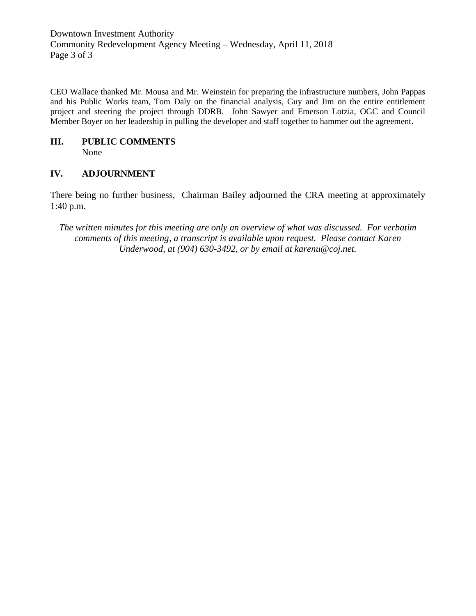Downtown Investment Authority Community Redevelopment Agency Meeting – Wednesday, April 11, 2018 Page 3 of 3

CEO Wallace thanked Mr. Mousa and Mr. Weinstein for preparing the infrastructure numbers, John Pappas and his Public Works team, Tom Daly on the financial analysis, Guy and Jim on the entire entitlement project and steering the project through DDRB. John Sawyer and Emerson Lotzia, OGC and Council Member Boyer on her leadership in pulling the developer and staff together to hammer out the agreement.

# **III. PUBLIC COMMENTS**

None

## **IV. ADJOURNMENT**

There being no further business, Chairman Bailey adjourned the CRA meeting at approximately 1:40 p.m.

*The written minutes for this meeting are only an overview of what was discussed. For verbatim comments of this meeting, a transcript is available upon request. Please contact Karen Underwood, at (904) 630-3492, or by email at karenu@coj.net.*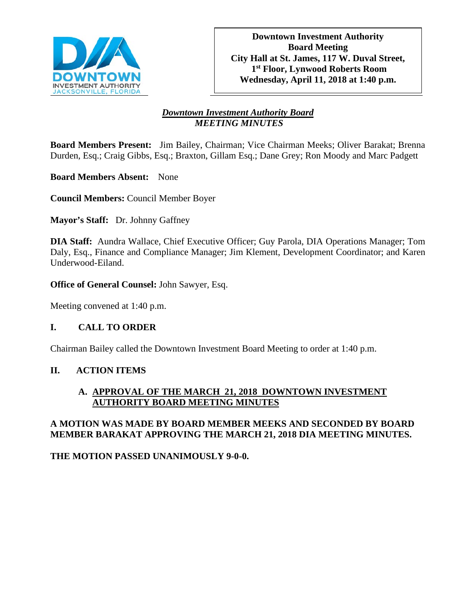

# *Downtown Investment Authority Board MEETING MINUTES*

**Board Members Present:** Jim Bailey, Chairman; Vice Chairman Meeks; Oliver Barakat; Brenna Durden, Esq.; Craig Gibbs, Esq.; Braxton, Gillam Esq.; Dane Grey; Ron Moody and Marc Padgett

**Board Members Absent:** None

**Council Members:** Council Member Boyer

**Mayor's Staff:** Dr. Johnny Gaffney

**DIA Staff:** Aundra Wallace, Chief Executive Officer; Guy Parola, DIA Operations Manager; Tom Daly, Esq., Finance and Compliance Manager; Jim Klement, Development Coordinator; and Karen Underwood-Eiland.

**Office of General Counsel:** John Sawyer, Esq.

Meeting convened at 1:40 p.m.

## **I. CALL TO ORDER**

Chairman Bailey called the Downtown Investment Board Meeting to order at 1:40 p.m.

## **II. ACTION ITEMS**

## **A. APPROVAL OF THE MARCH 21, 2018 DOWNTOWN INVESTMENT AUTHORITY BOARD MEETING MINUTES**

## **A MOTION WAS MADE BY BOARD MEMBER MEEKS AND SECONDED BY BOARD MEMBER BARAKAT APPROVING THE MARCH 21, 2018 DIA MEETING MINUTES.**

**THE MOTION PASSED UNANIMOUSLY 9-0-0.**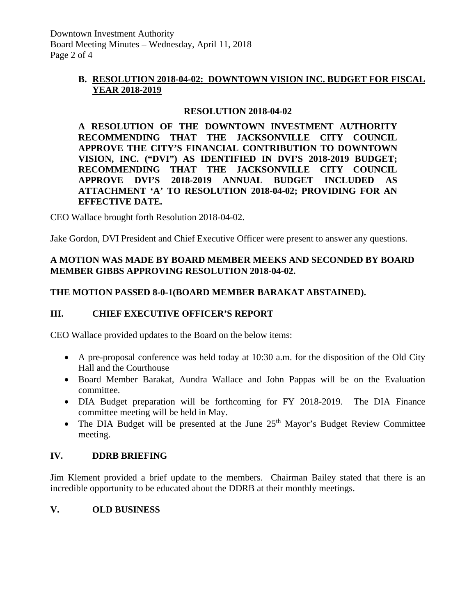# **B. RESOLUTION 2018-04-02: DOWNTOWN VISION INC. BUDGET FOR FISCAL YEAR 2018-2019**

# **RESOLUTION 2018-04-02**

**A RESOLUTION OF THE DOWNTOWN INVESTMENT AUTHORITY RECOMMENDING THAT THE JACKSONVILLE CITY COUNCIL APPROVE THE CITY'S FINANCIAL CONTRIBUTION TO DOWNTOWN VISION, INC. ("DVI") AS IDENTIFIED IN DVI'S 2018-2019 BUDGET; RECOMMENDING THAT THE JACKSONVILLE CITY COUNCIL APPROVE DVI'S 2018-2019 ANNUAL BUDGET INCLUDED AS ATTACHMENT 'A' TO RESOLUTION 2018-04-02; PROVIDING FOR AN EFFECTIVE DATE.** 

CEO Wallace brought forth Resolution 2018-04-02.

Jake Gordon, DVI President and Chief Executive Officer were present to answer any questions.

# **A MOTION WAS MADE BY BOARD MEMBER MEEKS AND SECONDED BY BOARD MEMBER GIBBS APPROVING RESOLUTION 2018-04-02.**

## **THE MOTION PASSED 8-0-1(BOARD MEMBER BARAKAT ABSTAINED).**

## **III. CHIEF EXECUTIVE OFFICER'S REPORT**

CEO Wallace provided updates to the Board on the below items:

- A pre-proposal conference was held today at 10:30 a.m. for the disposition of the Old City Hall and the Courthouse
- Board Member Barakat, Aundra Wallace and John Pappas will be on the Evaluation committee.
- DIA Budget preparation will be forthcoming for FY 2018-2019. The DIA Finance committee meeting will be held in May.
- The DIA Budget will be presented at the June  $25<sup>th</sup>$  Mayor's Budget Review Committee meeting.

## **IV. DDRB BRIEFING**

Jim Klement provided a brief update to the members. Chairman Bailey stated that there is an incredible opportunity to be educated about the DDRB at their monthly meetings.

## **V. OLD BUSINESS**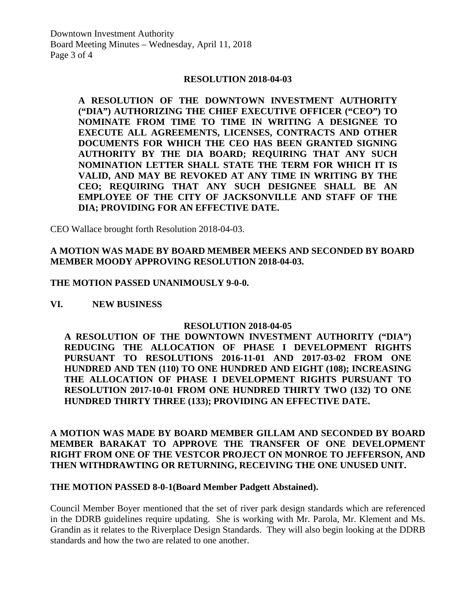Downtown Investment Authority Board Meeting Minutes – Wednesday, April 11, 2018 Page 3 of 4

#### **RESOLUTION 2018-04-03**

**A RESOLUTION OF THE DOWNTOWN INVESTMENT AUTHORITY ("DIA") AUTHORIZING THE CHIEF EXECUTIVE OFFICER ("CEO") TO NOMINATE FROM TIME TO TIME IN WRITING A DESIGNEE TO EXECUTE ALL AGREEMENTS, LICENSES, CONTRACTS AND OTHER DOCUMENTS FOR WHICH THE CEO HAS BEEN GRANTED SIGNING AUTHORITY BY THE DIA BOARD; REQUIRING THAT ANY SUCH NOMINATION LETTER SHALL STATE THE TERM FOR WHICH IT IS VALID, AND MAY BE REVOKED AT ANY TIME IN WRITING BY THE CEO; REQUIRING THAT ANY SUCH DESIGNEE SHALL BE AN EMPLOYEE OF THE CITY OF JACKSONVILLE AND STAFF OF THE DIA; PROVIDING FOR AN EFFECTIVE DATE.** 

CEO Wallace brought forth Resolution 2018-04-03.

## **A MOTION WAS MADE BY BOARD MEMBER MEEKS AND SECONDED BY BOARD MEMBER MOODY APPROVING RESOLUTION 2018-04-03.**

#### **THE MOTION PASSED UNANIMOUSLY 9-0-0.**

#### **VI. NEW BUSINESS**

### **RESOLUTION 2018-04-05**

**A RESOLUTION OF THE DOWNTOWN INVESTMENT AUTHORITY ("DIA") REDUCING THE ALLOCATION OF PHASE I DEVELOPMENT RIGHTS PURSUANT TO RESOLUTIONS 2016-11-01 AND 2017-03-02 FROM ONE HUNDRED AND TEN (110) TO ONE HUNDRED AND EIGHT (108); INCREASING THE ALLOCATION OF PHASE I DEVELOPMENT RIGHTS PURSUANT TO RESOLUTION 2017-10-01 FROM ONE HUNDRED THIRTY TWO (132) TO ONE HUNDRED THIRTY THREE (133); PROVIDING AN EFFECTIVE DATE.** 

**A MOTION WAS MADE BY BOARD MEMBER GILLAM AND SECONDED BY BOARD MEMBER BARAKAT TO APPROVE THE TRANSFER OF ONE DEVELOPMENT RIGHT FROM ONE OF THE VESTCOR PROJECT ON MONROE TO JEFFERSON, AND THEN WITHDRAWTING OR RETURNING, RECEIVING THE ONE UNUSED UNIT.** 

#### **THE MOTION PASSED 8-0-1(Board Member Padgett Abstained).**

Council Member Boyer mentioned that the set of river park design standards which are referenced in the DDRB guidelines require updating. She is working with Mr. Parola, Mr. Klement and Ms. Grandin as it relates to the Riverplace Design Standards. They will also begin looking at the DDRB standards and how the two are related to one another.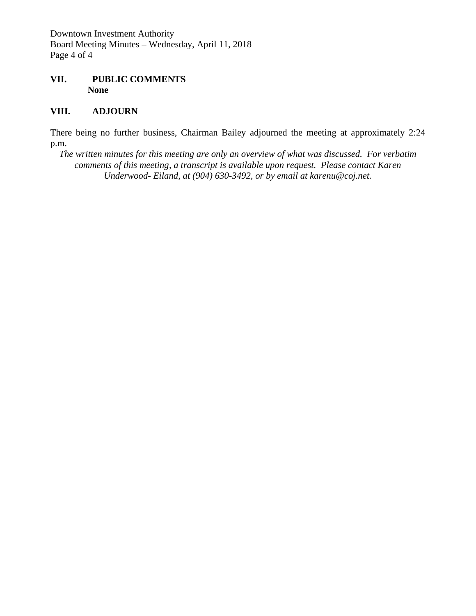Downtown Investment Authority Board Meeting Minutes – Wednesday, April 11, 2018 Page 4 of 4

### **VII. PUBLIC COMMENTS None**

## **VIII. ADJOURN**

There being no further business, Chairman Bailey adjourned the meeting at approximately 2:24 p.m.

*The written minutes for this meeting are only an overview of what was discussed. For verbatim comments of this meeting, a transcript is available upon request. Please contact Karen Underwood- Eiland, at (904) 630-3492, or by email at karenu@coj.net.*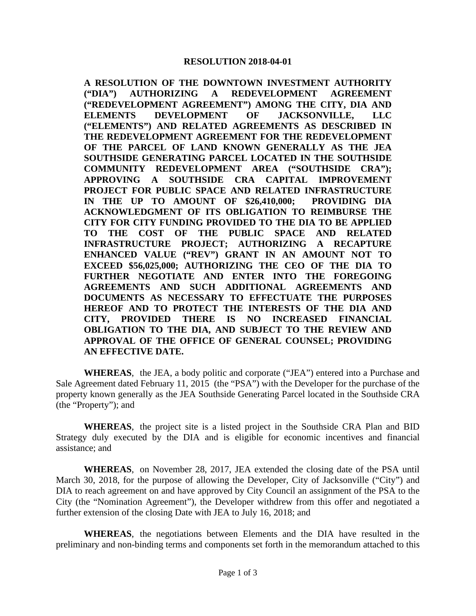**A RESOLUTION OF THE DOWNTOWN INVESTMENT AUTHORITY ("DIA") AUTHORIZING A REDEVELOPMENT AGREEMENT ("REDEVELOPMENT AGREEMENT") AMONG THE CITY, DIA AND ELEMENTS DEVELOPMENT OF JACKSONVILLE, LLC ("ELEMENTS") AND RELATED AGREEMENTS AS DESCRIBED IN THE REDEVELOPMENT AGREEMENT FOR THE REDEVELOPMENT OF THE PARCEL OF LAND KNOWN GENERALLY AS THE JEA SOUTHSIDE GENERATING PARCEL LOCATED IN THE SOUTHSIDE COMMUNITY REDEVELOPMENT AREA ("SOUTHSIDE CRA"); APPROVING A SOUTHSIDE CRA CAPITAL IMPROVEMENT PROJECT FOR PUBLIC SPACE AND RELATED INFRASTRUCTURE IN THE UP TO AMOUNT OF \$26,410,000; PROVIDING DIA ACKNOWLEDGMENT OF ITS OBLIGATION TO REIMBURSE THE CITY FOR CITY FUNDING PROVIDED TO THE DIA TO BE APPLIED TO THE COST OF THE PUBLIC SPACE AND RELATED INFRASTRUCTURE PROJECT; AUTHORIZING A RECAPTURE ENHANCED VALUE ("REV") GRANT IN AN AMOUNT NOT TO EXCEED \$56,025,000; AUTHORIZING THE CEO OF THE DIA TO FURTHER NEGOTIATE AND ENTER INTO THE FOREGOING AGREEMENTS AND SUCH ADDITIONAL AGREEMENTS AND DOCUMENTS AS NECESSARY TO EFFECTUATE THE PURPOSES HEREOF AND TO PROTECT THE INTERESTS OF THE DIA AND CITY, PROVIDED THERE IS NO INCREASED FINANCIAL OBLIGATION TO THE DIA, AND SUBJECT TO THE REVIEW AND APPROVAL OF THE OFFICE OF GENERAL COUNSEL; PROVIDING AN EFFECTIVE DATE.**

**WHEREAS**, the JEA, a body politic and corporate ("JEA") entered into a Purchase and Sale Agreement dated February 11, 2015 (the "PSA") with the Developer for the purchase of the property known generally as the JEA Southside Generating Parcel located in the Southside CRA (the "Property"); and

**WHEREAS**, the project site is a listed project in the Southside CRA Plan and BID Strategy duly executed by the DIA and is eligible for economic incentives and financial assistance; and

**WHEREAS**, on November 28, 2017, JEA extended the closing date of the PSA until March 30, 2018, for the purpose of allowing the Developer, City of Jacksonville ("City") and DIA to reach agreement on and have approved by City Council an assignment of the PSA to the City (the "Nomination Agreement"), the Developer withdrew from this offer and negotiated a further extension of the closing Date with JEA to July 16, 2018; and

**WHEREAS**, the negotiations between Elements and the DIA have resulted in the preliminary and non-binding terms and components set forth in the memorandum attached to this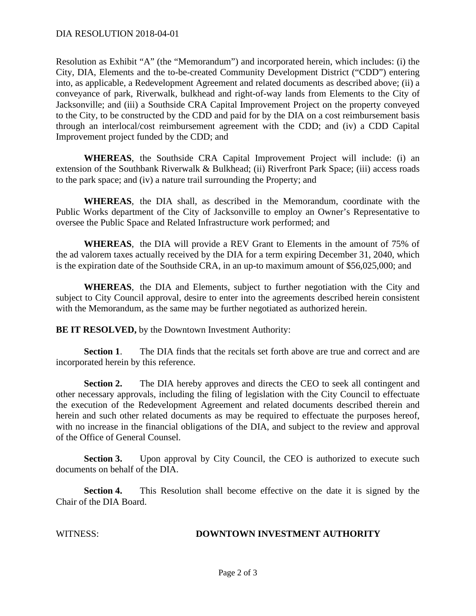Resolution as Exhibit "A" (the "Memorandum") and incorporated herein, which includes: (i) the City, DIA, Elements and the to-be-created Community Development District ("CDD") entering into, as applicable, a Redevelopment Agreement and related documents as described above; (ii) a conveyance of park, Riverwalk, bulkhead and right-of-way lands from Elements to the City of Jacksonville; and (iii) a Southside CRA Capital Improvement Project on the property conveyed to the City, to be constructed by the CDD and paid for by the DIA on a cost reimbursement basis through an interlocal/cost reimbursement agreement with the CDD; and (iv) a CDD Capital Improvement project funded by the CDD; and

**WHEREAS**, the Southside CRA Capital Improvement Project will include: (i) an extension of the Southbank Riverwalk & Bulkhead; (ii) Riverfront Park Space; (iii) access roads to the park space; and (iv) a nature trail surrounding the Property; and

**WHEREAS**, the DIA shall, as described in the Memorandum, coordinate with the Public Works department of the City of Jacksonville to employ an Owner's Representative to oversee the Public Space and Related Infrastructure work performed; and

**WHEREAS**, the DIA will provide a REV Grant to Elements in the amount of 75% of the ad valorem taxes actually received by the DIA for a term expiring December 31, 2040, which is the expiration date of the Southside CRA, in an up-to maximum amount of \$56,025,000; and

**WHEREAS**, the DIA and Elements, subject to further negotiation with the City and subject to City Council approval, desire to enter into the agreements described herein consistent with the Memorandum, as the same may be further negotiated as authorized herein.

**BE IT RESOLVED,** by the Downtown Investment Authority:

**Section 1.** The DIA finds that the recitals set forth above are true and correct and are incorporated herein by this reference.

**Section 2.** The DIA hereby approves and directs the CEO to seek all contingent and other necessary approvals, including the filing of legislation with the City Council to effectuate the execution of the Redevelopment Agreement and related documents described therein and herein and such other related documents as may be required to effectuate the purposes hereof, with no increase in the financial obligations of the DIA, and subject to the review and approval of the Office of General Counsel.

**Section 3.** Upon approval by City Council, the CEO is authorized to execute such documents on behalf of the DIA.

**Section 4.** This Resolution shall become effective on the date it is signed by the Chair of the DIA Board.

### WITNESS: **DOWNTOWN INVESTMENT AUTHORITY**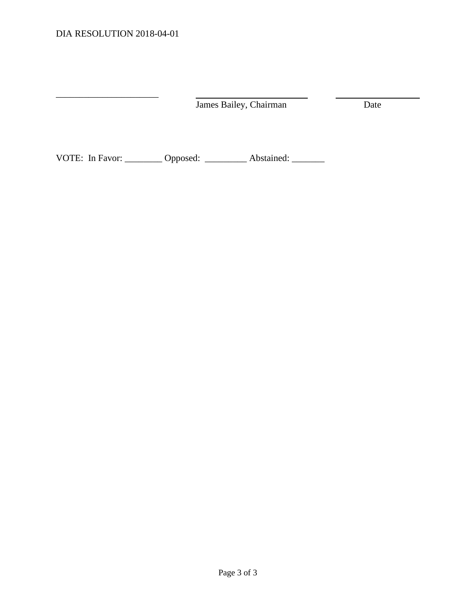$\_$ 

| James Bailey, Chairman | Date |
|------------------------|------|
|------------------------|------|

VOTE: In Favor: \_\_\_\_\_\_\_\_ Opposed: \_\_\_\_\_\_\_\_ Abstained: \_\_\_\_\_\_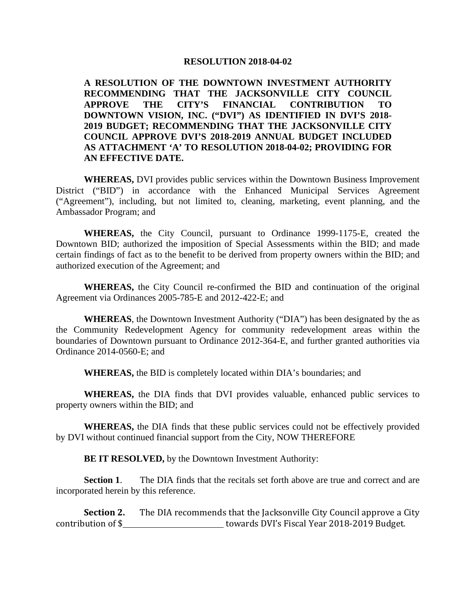#### **RESOLUTION 2018-04-02**

**A RESOLUTION OF THE DOWNTOWN INVESTMENT AUTHORITY RECOMMENDING THAT THE JACKSONVILLE CITY COUNCIL APPROVE THE CITY'S FINANCIAL CONTRIBUTION TO DOWNTOWN VISION, INC. ("DVI") AS IDENTIFIED IN DVI'S 2018- 2019 BUDGET; RECOMMENDING THAT THE JACKSONVILLE CITY COUNCIL APPROVE DVI'S 2018-2019 ANNUAL BUDGET INCLUDED AS ATTACHMENT 'A' TO RESOLUTION 2018-04-02; PROVIDING FOR AN EFFECTIVE DATE.** 

**WHEREAS,** DVI provides public services within the Downtown Business Improvement District ("BID") in accordance with the Enhanced Municipal Services Agreement ("Agreement"), including, but not limited to, cleaning, marketing, event planning, and the Ambassador Program; and

**WHEREAS,** the City Council, pursuant to Ordinance 1999-1175-E, created the Downtown BID; authorized the imposition of Special Assessments within the BID; and made certain findings of fact as to the benefit to be derived from property owners within the BID; and authorized execution of the Agreement; and

**WHEREAS,** the City Council re-confirmed the BID and continuation of the original Agreement via Ordinances 2005-785-E and 2012-422-E; and

**WHEREAS**, the Downtown Investment Authority ("DIA") has been designated by the as the Community Redevelopment Agency for community redevelopment areas within the boundaries of Downtown pursuant to Ordinance 2012-364-E, and further granted authorities via Ordinance 2014-0560-E; and

**WHEREAS,** the BID is completely located within DIA's boundaries; and

**WHEREAS,** the DIA finds that DVI provides valuable, enhanced public services to property owners within the BID; and

**WHEREAS,** the DIA finds that these public services could not be effectively provided by DVI without continued financial support from the City, NOW THEREFORE

**BE IT RESOLVED,** by the Downtown Investment Authority:

**Section 1**. The DIA finds that the recitals set forth above are true and correct and are incorporated herein by this reference.

**Section 2.** The DIA recommends that the Jacksonville City Council approve a City contribution of \$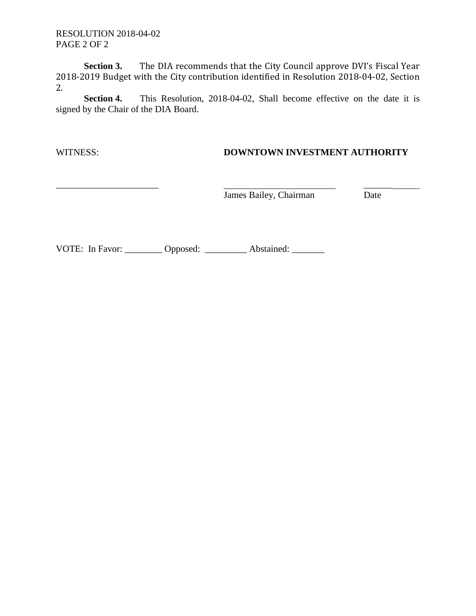RESOLUTION 2018-04-02 PAGE 2 OF 2

**Section 3.** The DIA recommends that the City Council approve DVI's Fiscal Year 2018-2019 Budget with the City contribution identified in Resolution 2018-04-02, Section 2.

**Section 4.** This Resolution, 2018-04-02, Shall become effective on the date it is signed by the Chair of the DIA Board.

# WITNESS: **DOWNTOWN INVESTMENT AUTHORITY**

James Bailey, Chairman

 $\overline{\text{Date}}$ 

VOTE: In Favor: \_\_\_\_\_\_\_\_ Opposed: \_\_\_\_\_\_\_\_ Abstained: \_\_\_\_\_\_\_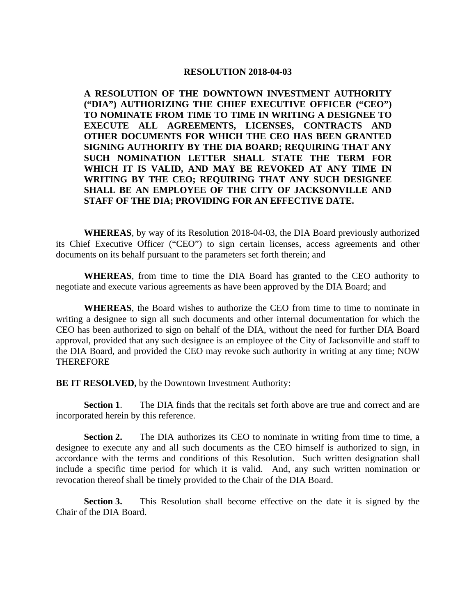#### **RESOLUTION 2018-04-03**

**A RESOLUTION OF THE DOWNTOWN INVESTMENT AUTHORITY ("DIA") AUTHORIZING THE CHIEF EXECUTIVE OFFICER ("CEO") TO NOMINATE FROM TIME TO TIME IN WRITING A DESIGNEE TO EXECUTE ALL AGREEMENTS, LICENSES, CONTRACTS AND OTHER DOCUMENTS FOR WHICH THE CEO HAS BEEN GRANTED SIGNING AUTHORITY BY THE DIA BOARD; REQUIRING THAT ANY SUCH NOMINATION LETTER SHALL STATE THE TERM FOR WHICH IT IS VALID, AND MAY BE REVOKED AT ANY TIME IN WRITING BY THE CEO; REQUIRING THAT ANY SUCH DESIGNEE SHALL BE AN EMPLOYEE OF THE CITY OF JACKSONVILLE AND STAFF OF THE DIA; PROVIDING FOR AN EFFECTIVE DATE.** 

**WHEREAS**, by way of its Resolution 2018-04-03, the DIA Board previously authorized its Chief Executive Officer ("CEO") to sign certain licenses, access agreements and other documents on its behalf pursuant to the parameters set forth therein; and

**WHEREAS**, from time to time the DIA Board has granted to the CEO authority to negotiate and execute various agreements as have been approved by the DIA Board; and

**WHEREAS**, the Board wishes to authorize the CEO from time to time to nominate in writing a designee to sign all such documents and other internal documentation for which the CEO has been authorized to sign on behalf of the DIA, without the need for further DIA Board approval, provided that any such designee is an employee of the City of Jacksonville and staff to the DIA Board, and provided the CEO may revoke such authority in writing at any time; NOW THEREFORE

**BE IT RESOLVED, by the Downtown Investment Authority:** 

**Section 1.** The DIA finds that the recitals set forth above are true and correct and are incorporated herein by this reference.

**Section 2.** The DIA authorizes its CEO to nominate in writing from time to time, a designee to execute any and all such documents as the CEO himself is authorized to sign, in accordance with the terms and conditions of this Resolution. Such written designation shall include a specific time period for which it is valid. And, any such written nomination or revocation thereof shall be timely provided to the Chair of the DIA Board.

**Section 3.** This Resolution shall become effective on the date it is signed by the Chair of the DIA Board.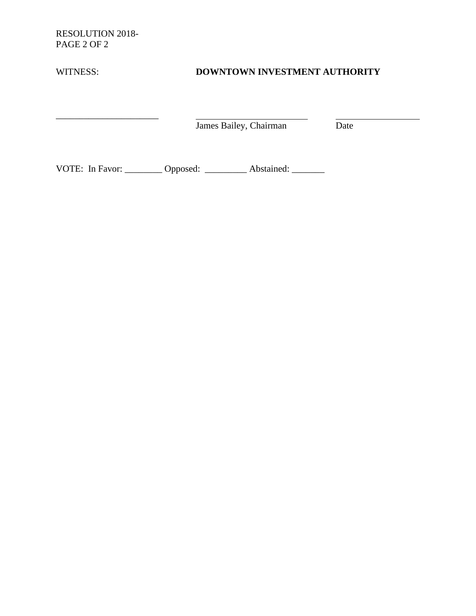RESOLUTION 2018- PAGE 2 OF 2

\_\_\_\_\_\_\_\_\_\_\_\_\_\_\_\_\_\_\_\_\_\_

# WITNESS: **DOWNTOWN INVESTMENT AUTHORITY**

James Bailey, Chairman Date

VOTE: In Favor: \_\_\_\_\_\_\_\_ Opposed: \_\_\_\_\_\_\_\_ Abstained: \_\_\_\_\_\_